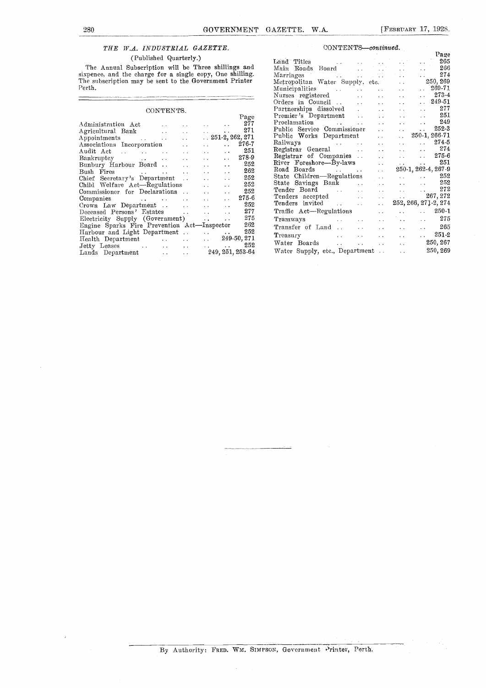$\equiv$ 

# THE W.A. INDUSTRIAL GAZETTE.

### (Published Quarterly.)

|                                                                                                                                                                                                                                |                              |                                    | Page  | Premier's Department<br>29 L                                                                                                                                                                                                                   |  |
|--------------------------------------------------------------------------------------------------------------------------------------------------------------------------------------------------------------------------------|------------------------------|------------------------------------|-------|------------------------------------------------------------------------------------------------------------------------------------------------------------------------------------------------------------------------------------------------|--|
| Administration Act                                                                                                                                                                                                             | and the property of the con- |                                    | 277   | 249<br>Proclamation<br>$\sim 10^{-1}$<br>and the con-                                                                                                                                                                                          |  |
|                                                                                                                                                                                                                                |                              |                                    | 271   | $\sim$ 2523<br>Public Service Commissioner                                                                                                                                                                                                     |  |
| Appointments 251-2, 262, 271                                                                                                                                                                                                   |                              |                                    |       | $\ldots$ 250-1, 266-71<br>Public Works Department<br>$\mathcal{L}(\mathcal{L})$ and $\mathcal{L}(\mathcal{L})$                                                                                                                                 |  |
| Associations Incorporation                                                                                                                                                                                                     |                              | $\sim$ $\sim$<br><b>Contractor</b> | 276-7 | $274-5$                                                                                                                                                                                                                                        |  |
|                                                                                                                                                                                                                                |                              |                                    | 251   | 274<br>Registrar General<br><b>Service</b><br>and the state of the state of the                                                                                                                                                                |  |
|                                                                                                                                                                                                                                |                              | <b>Service</b> State               | 278-9 | $\ldots$ 275-6<br>Registrar of Companies<br>$\mathbf{L}(\mathbf{L})$ and $\mathbf{L}(\mathbf{L})$                                                                                                                                              |  |
| Bunbury Harbour Board                                                                                                                                                                                                          |                              |                                    | 252   | 251<br>River Foreshore—By-laws<br>and the state of the state of the                                                                                                                                                                            |  |
|                                                                                                                                                                                                                                |                              |                                    | 262   | $250-1, 262-4, 267-9$                                                                                                                                                                                                                          |  |
|                                                                                                                                                                                                                                |                              |                                    | 252   | State Children-Regulations<br>$\ldots$ 252                                                                                                                                                                                                     |  |
|                                                                                                                                                                                                                                |                              |                                    | 252   | 252<br>State Savings Bank<br>the contract of the contract of                                                                                                                                                                                   |  |
|                                                                                                                                                                                                                                |                              | $\sim 10^{-1}$                     | 252   | 272<br>Tender Board Tender and Tender and Tender and Tender and Tender and Tender and Tender and Tender and Tender and Tender and Tender and Tender and Tender and Tender and Tender and Tender and Tender and Tender and Tender and           |  |
|                                                                                                                                                                                                                                |                              |                                    | 275-6 | $\ldots$ 267, 272<br>Tenders accepted<br><b>Alberta Control</b>                                                                                                                                                                                |  |
|                                                                                                                                                                                                                                |                              |                                    | 252   | 252, 266, 271.2, 274<br>Tenders invited<br><b>Service Control</b>                                                                                                                                                                              |  |
|                                                                                                                                                                                                                                |                              |                                    | 277   | $\ldots$ 250-1                                                                                                                                                                                                                                 |  |
|                                                                                                                                                                                                                                |                              |                                    |       |                                                                                                                                                                                                                                                |  |
| Electricity Supply (Government)                                                                                                                                                                                                |                              |                                    | 275   | $\ldots$ 275<br>Tramways and the contract of the contract of the contract of the contract of the contract of the contract of the contract of the contract of the contract of the contract of the contract of the contract of the contract of t |  |
| Engine Sparks Fire Prevention Act—Inspector                                                                                                                                                                                    |                              |                                    | 262   | 265<br>Transfer of Land<br>and the state of the state of the state of the state of the state of the state of the state of the state of the                                                                                                     |  |
|                                                                                                                                                                                                                                |                              |                                    | 252   | $251-2$<br>the company of the company of the<br>Treasury<br><b>Sales Control</b>                                                                                                                                                               |  |
| Health Department 1.1 249-50, 271                                                                                                                                                                                              |                              |                                    |       | 250, 267<br>the contract of the contract of the contract of<br>Water Boards                                                                                                                                                                    |  |
| Jetty Leases and the contract of the set of the set of the set of the set of the set of the set of the set of the set of the set of the set of the set of the set of the set of the set of the set of the set of the set of th |                              |                                    | 252   |                                                                                                                                                                                                                                                |  |
| Lands Department                                                                                                                                                                                                               |                              | 249, 251, 253-64                   |       | 250, 269<br>$\Delta\sim 10^{-11}$<br>Water Supply, etc., Department                                                                                                                                                                            |  |
|                                                                                                                                                                                                                                |                              |                                    |       |                                                                                                                                                                                                                                                |  |

### CONTENTS—continued.

| _______                                                                                                                                                                                                                              |
|--------------------------------------------------------------------------------------------------------------------------------------------------------------------------------------------------------------------------------------|
| (Published Quarterly.)                                                                                                                                                                                                               |
|                                                                                                                                                                                                                                      |
| The Annual Subscription will be Three shillings and                                                                                                                                                                                  |
| sixpence, and the charge for a single copy, One shilling.                                                                                                                                                                            |
| The subscription may be sent to the Government Printer                                                                                                                                                                               |
| Perth.                                                                                                                                                                                                                               |
|                                                                                                                                                                                                                                      |
|                                                                                                                                                                                                                                      |
| CONTENTS.                                                                                                                                                                                                                            |
| Page                                                                                                                                                                                                                                 |
| 277<br>Administration Act is a constant of the contraction of the contraction of the contraction of the contraction o                                                                                                                |
| 271<br>Agricultural Bank and the contract of the set of the set of the set of the set of the set of the set of the set of the set of the set of the set of the set of the set of the set of the set of the set of the set of the set |
|                                                                                                                                                                                                                                      |
| $\ldots$ 276-7<br>Associations Incorporation                                                                                                                                                                                         |
| 251                                                                                                                                                                                                                                  |
|                                                                                                                                                                                                                                      |
| $\ldots$ 252                                                                                                                                                                                                                         |
|                                                                                                                                                                                                                                      |
| 252                                                                                                                                                                                                                                  |
| Chief Secretary's Department<br><b>Service</b><br>252                                                                                                                                                                                |
| 252                                                                                                                                                                                                                                  |
| 275-6                                                                                                                                                                                                                                |
| Companies and the companies of the companies of the companies of the companies of the companies of the companies of the companies of the companies of the companies of the companies of the companies of the companies of the<br>252 |
| $Crown$ Law Department $\ldots$ $\ldots$ $\ldots$<br>277                                                                                                                                                                             |
|                                                                                                                                                                                                                                      |
| Electricity Supply (Government)  275                                                                                                                                                                                                 |
| Engine Sparks Fire Prevention Act-Inspector 262                                                                                                                                                                                      |
| 252                                                                                                                                                                                                                                  |
| Health Department 1.1 1.1 249-50, 271                                                                                                                                                                                                |
| 252                                                                                                                                                                                                                                  |
| Lands Department  249, 251, 253-64                                                                                                                                                                                                   |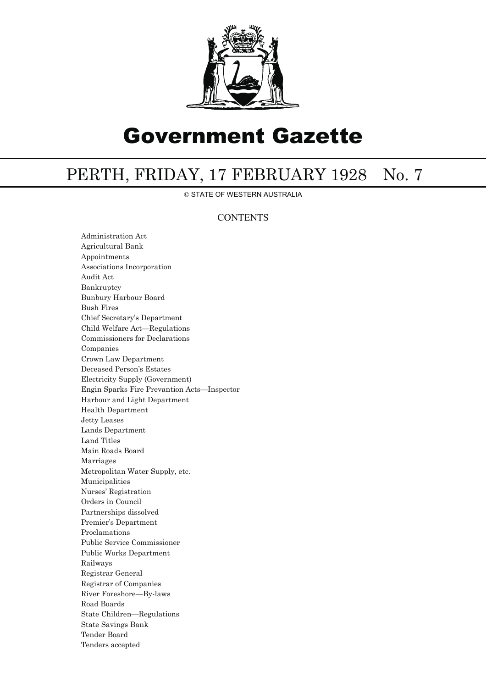

# Government Gazette

# PERTH, FRIDAY, 17 FEBRUARY 1928 No. 7

© STATE OF WESTERN AUSTRALIA

## **CONTENTS**

Administration Act Agricultural Bank Appointments Associations Incorporation Audit Act Bankruptcy Bunbury Harbour Board Bush Fires Chief Secretary's Department Child Welfare Act—Regulations Commissioners for Declarations Companies Crown Law Department Deceased Person's Estates Electricity Supply (Government) Engin Sparks Fire Prevantion Acts—Inspector Harbour and Light Department Health Department Jetty Leases Lands Department Land Titles Main Roads Board Marriages Metropolitan Water Supply, etc. Municipalities Nurses' Registration Orders in Council Partnerships dissolved Premier's Department Proclamations Public Service Commissioner Public Works Department Railways Registrar General Registrar of Companies River Foreshore—By-laws Road Boards State Children—Regulations State Savings Bank Tender Board Tenders accepted